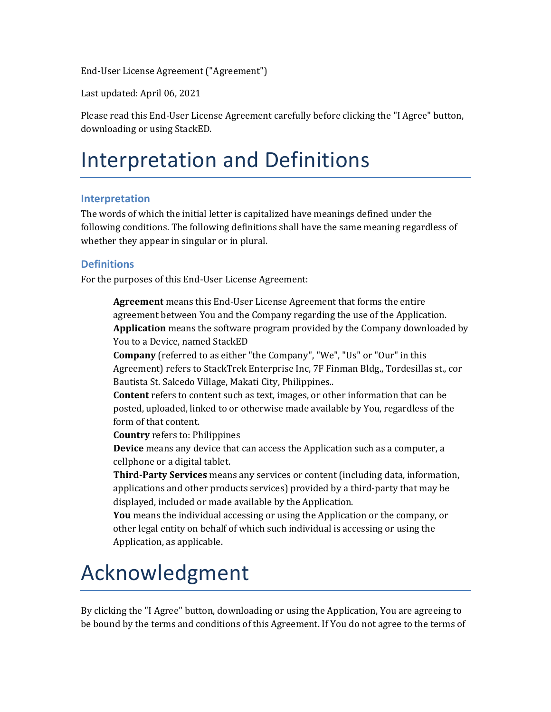End-User License Agreement ("Agreement")

Last updated: April 06, 2021

Please read this End-User License Agreement carefully before clicking the "I Agree" button, downloading or using StackED.

### Interpretation and Definitions

#### **Interpretation**

The words of which the initial letter is capitalized have meanings defined under the following conditions. The following definitions shall have the same meaning regardless of whether they appear in singular or in plural.

#### **Definitions**

For the purposes of this End-User License Agreement:

**Agreement** means this End-User License Agreement that forms the entire agreement between You and the Company regarding the use of the Application. **Application** means the software program provided by the Company downloaded by You to a Device, named StackED

**Company** (referred to as either "the Company", "We", "Us" or "Our" in this Agreement) refers to StackTrek Enterprise Inc, 7F Finman Bldg., Tordesillas st., cor Bautista St. Salcedo Village, Makati City, Philippines..

**Content** refers to content such as text, images, or other information that can be posted, uploaded, linked to or otherwise made available by You, regardless of the form of that content.

**Country** refers to: Philippines

**Device** means any device that can access the Application such as a computer, a cellphone or a digital tablet.

**Third-Party Services** means any services or content (including data, information, applications and other products services) provided by a third-party that may be displayed, included or made available by the Application.

**You** means the individual accessing or using the Application or the company, or other legal entity on behalf of which such individual is accessing or using the Application, as applicable.

### Acknowledgment

By clicking the "I Agree" button, downloading or using the Application, You are agreeing to be bound by the terms and conditions of this Agreement. If You do not agree to the terms of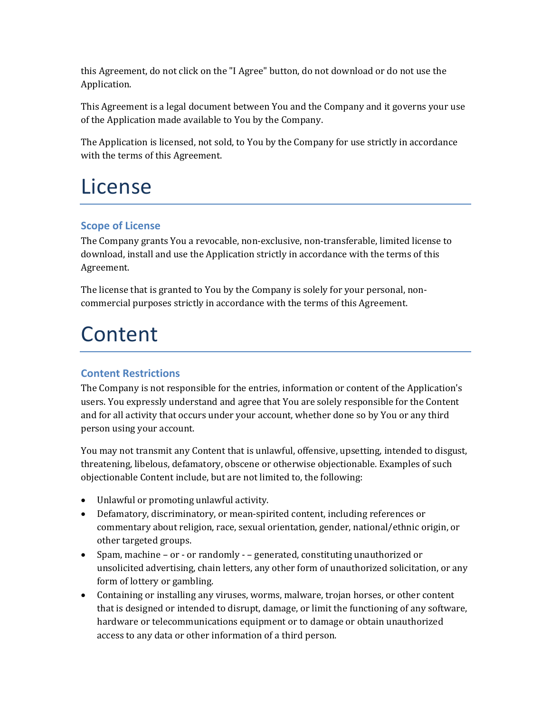this Agreement, do not click on the "I Agree" button, do not download or do not use the Application.

This Agreement is a legal document between You and the Company and it governs your use of the Application made available to You by the Company.

The Application is licensed, not sold, to You by the Company for use strictly in accordance with the terms of this Agreement.

### License

#### **Scope of License**

The Company grants You a revocable, non-exclusive, non-transferable, limited license to download, install and use the Application strictly in accordance with the terms of this Agreement.

The license that is granted to You by the Company is solely for your personal, noncommercial purposes strictly in accordance with the terms of this Agreement.

### Content

#### **Content Restrictions**

The Company is not responsible for the entries, information or content of the Application's users. You expressly understand and agree that You are solely responsible for the Content and for all activity that occurs under your account, whether done so by You or any third person using your account.

You may not transmit any Content that is unlawful, offensive, upsetting, intended to disgust, threatening, libelous, defamatory, obscene or otherwise objectionable. Examples of such objectionable Content include, but are not limited to, the following:

- Unlawful or promoting unlawful activity.
- Defamatory, discriminatory, or mean-spirited content, including references or commentary about religion, race, sexual orientation, gender, national/ethnic origin, or other targeted groups.
- Spam, machine or or randomly – generated, constituting unauthorized or unsolicited advertising, chain letters, any other form of unauthorized solicitation, or any form of lottery or gambling.
- Containing or installing any viruses, worms, malware, trojan horses, or other content that is designed or intended to disrupt, damage, or limit the functioning of any software, hardware or telecommunications equipment or to damage or obtain unauthorized access to any data or other information of a third person.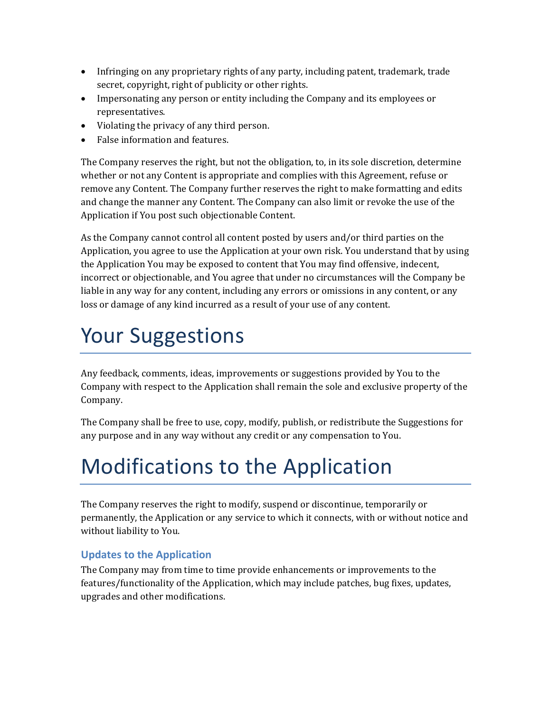- Infringing on any proprietary rights of any party, including patent, trademark, trade secret, copyright, right of publicity or other rights.
- Impersonating any person or entity including the Company and its employees or representatives.
- Violating the privacy of any third person.
- False information and features.

The Company reserves the right, but not the obligation, to, in its sole discretion, determine whether or not any Content is appropriate and complies with this Agreement, refuse or remove any Content. The Company further reserves the right to make formatting and edits and change the manner any Content. The Company can also limit or revoke the use of the Application if You post such objectionable Content.

As the Company cannot control all content posted by users and/or third parties on the Application, you agree to use the Application at your own risk. You understand that by using the Application You may be exposed to content that You may find offensive, indecent, incorrect or objectionable, and You agree that under no circumstances will the Company be liable in any way for any content, including any errors or omissions in any content, or any loss or damage of any kind incurred as a result of your use of any content.

# Your Suggestions

Any feedback, comments, ideas, improvements or suggestions provided by You to the Company with respect to the Application shall remain the sole and exclusive property of the Company.

The Company shall be free to use, copy, modify, publish, or redistribute the Suggestions for any purpose and in any way without any credit or any compensation to You.

# Modifications to the Application

The Company reserves the right to modify, suspend or discontinue, temporarily or permanently, the Application or any service to which it connects, with or without notice and without liability to You.

#### **Updates to the Application**

The Company may from time to time provide enhancements or improvements to the features/functionality of the Application, which may include patches, bug fixes, updates, upgrades and other modifications.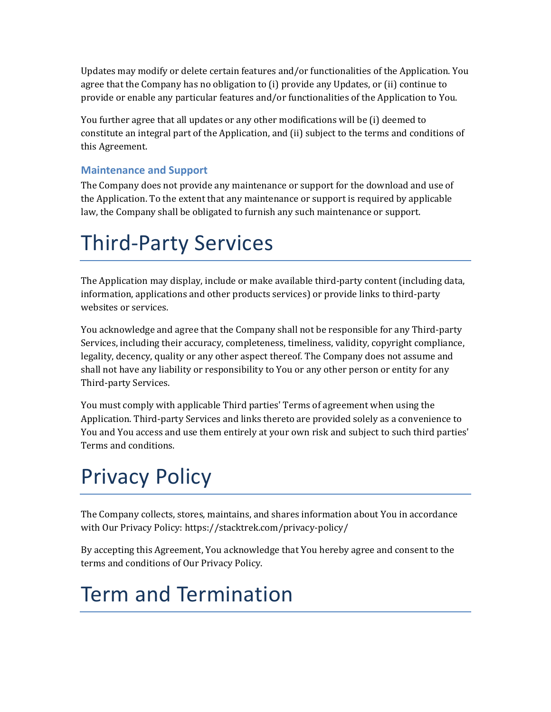Updates may modify or delete certain features and/or functionalities of the Application. You agree that the Company has no obligation to (i) provide any Updates, or (ii) continue to provide or enable any particular features and/or functionalities of the Application to You.

You further agree that all updates or any other modifications will be (i) deemed to constitute an integral part of the Application, and (ii) subject to the terms and conditions of this Agreement.

#### **Maintenance and Support**

The Company does not provide any maintenance or support for the download and use of the Application. To the extent that any maintenance or support is required by applicable law, the Company shall be obligated to furnish any such maintenance or support.

## Third-Party Services

The Application may display, include or make available third-party content (including data, information, applications and other products services) or provide links to third-party websites or services.

You acknowledge and agree that the Company shall not be responsible for any Third-party Services, including their accuracy, completeness, timeliness, validity, copyright compliance, legality, decency, quality or any other aspect thereof. The Company does not assume and shall not have any liability or responsibility to You or any other person or entity for any Third-party Services.

You must comply with applicable Third parties' Terms of agreement when using the Application. Third-party Services and links thereto are provided solely as a convenience to You and You access and use them entirely at your own risk and subject to such third parties' Terms and conditions.

# Privacy Policy

The Company collects, stores, maintains, and shares information about You in accordance with Our Privacy Policy:<https://stacktrek.com/privacy-policy/>

By accepting this Agreement, You acknowledge that You hereby agree and consent to the terms and conditions of Our Privacy Policy.

# Term and Termination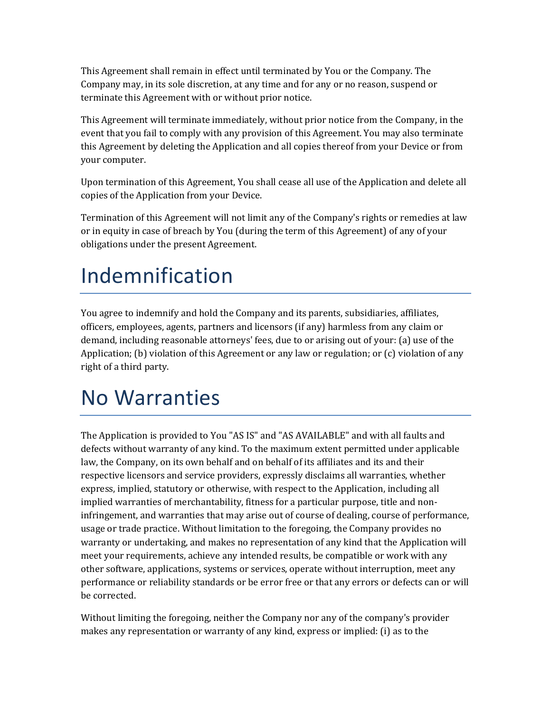This Agreement shall remain in effect until terminated by You or the Company. The Company may, in its sole discretion, at any time and for any or no reason, suspend or terminate this Agreement with or without prior notice.

This Agreement will terminate immediately, without prior notice from the Company, in the event that you fail to comply with any provision of this Agreement. You may also terminate this Agreement by deleting the Application and all copies thereof from your Device or from your computer.

Upon termination of this Agreement, You shall cease all use of the Application and delete all copies of the Application from your Device.

Termination of this Agreement will not limit any of the Company's rights or remedies at law or in equity in case of breach by You (during the term of this Agreement) of any of your obligations under the present Agreement.

# Indemnification

You agree to indemnify and hold the Company and its parents, subsidiaries, affiliates, officers, employees, agents, partners and licensors (if any) harmless from any claim or demand, including reasonable attorneys' fees, due to or arising out of your: (a) use of the Application; (b) violation of this Agreement or any law or regulation; or (c) violation of any right of a third party.

### No Warranties

The Application is provided to You "AS IS" and "AS AVAILABLE" and with all faults and defects without warranty of any kind. To the maximum extent permitted under applicable law, the Company, on its own behalf and on behalf of its affiliates and its and their respective licensors and service providers, expressly disclaims all warranties, whether express, implied, statutory or otherwise, with respect to the Application, including all implied warranties of merchantability, fitness for a particular purpose, title and noninfringement, and warranties that may arise out of course of dealing, course of performance, usage or trade practice. Without limitation to the foregoing, the Company provides no warranty or undertaking, and makes no representation of any kind that the Application will meet your requirements, achieve any intended results, be compatible or work with any other software, applications, systems or services, operate without interruption, meet any performance or reliability standards or be error free or that any errors or defects can or will be corrected.

Without limiting the foregoing, neither the Company nor any of the company's provider makes any representation or warranty of any kind, express or implied: (i) as to the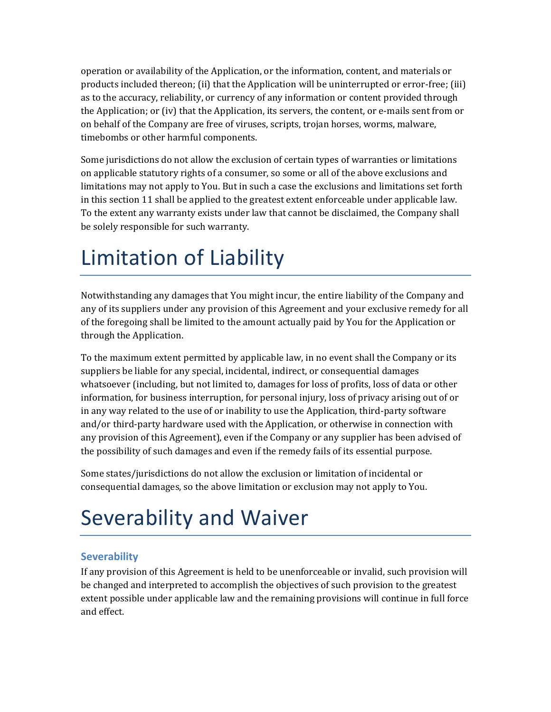operation or availability of the Application, or the information, content, and materials or products included thereon; (ii) that the Application will be uninterrupted or error-free; (iii) as to the accuracy, reliability, or currency of any information or content provided through the Application; or (iv) that the Application, its servers, the content, or e-mails sent from or on behalf of the Company are free of viruses, scripts, trojan horses, worms, malware, timebombs or other harmful components.

Some jurisdictions do not allow the exclusion of certain types of warranties or limitations on applicable statutory rights of a consumer, so some or all of the above exclusions and limitations may not apply to You. But in such a case the exclusions and limitations set forth in this section 11 shall be applied to the greatest extent enforceable under applicable law. To the extent any warranty exists under law that cannot be disclaimed, the Company shall be solely responsible for such warranty.

## Limitation of Liability

Notwithstanding any damages that You might incur, the entire liability of the Company and any of its suppliers under any provision of this Agreement and your exclusive remedy for all of the foregoing shall be limited to the amount actually paid by You for the Application or through the Application.

To the maximum extent permitted by applicable law, in no event shall the Company or its suppliers be liable for any special, incidental, indirect, or consequential damages whatsoever (including, but not limited to, damages for loss of profits, loss of data or other information, for business interruption, for personal injury, loss of privacy arising out of or in any way related to the use of or inability to use the Application, third-party software and/or third-party hardware used with the Application, or otherwise in connection with any provision of this Agreement), even if the Company or any supplier has been advised of the possibility of such damages and even if the remedy fails of its essential purpose.

Some states/jurisdictions do not allow the exclusion or limitation of incidental or consequential damages, so the above limitation or exclusion may not apply to You.

# Severability and Waiver

#### **Severability**

If any provision of this Agreement is held to be unenforceable or invalid, such provision will be changed and interpreted to accomplish the objectives of such provision to the greatest extent possible under applicable law and the remaining provisions will continue in full force and effect.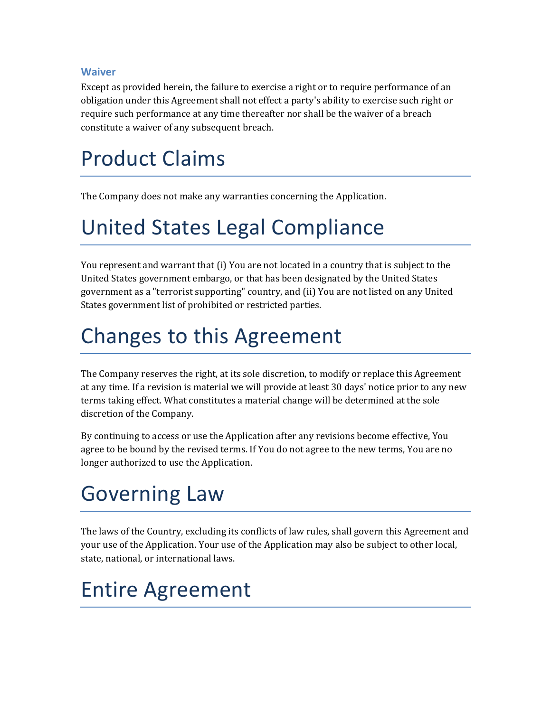#### **Waiver**

Except as provided herein, the failure to exercise a right or to require performance of an obligation under this Agreement shall not effect a party's ability to exercise such right or require such performance at any time thereafter nor shall be the waiver of a breach constitute a waiver of any subsequent breach.

## Product Claims

The Company does not make any warranties concerning the Application.

## United States Legal Compliance

You represent and warrant that (i) You are not located in a country that is subject to the United States government embargo, or that has been designated by the United States government as a "terrorist supporting" country, and (ii) You are not listed on any United States government list of prohibited or restricted parties.

## Changes to this Agreement

The Company reserves the right, at its sole discretion, to modify or replace this Agreement at any time. If a revision is material we will provide at least 30 days' notice prior to any new terms taking effect. What constitutes a material change will be determined at the sole discretion of the Company.

By continuing to access or use the Application after any revisions become effective, You agree to be bound by the revised terms. If You do not agree to the new terms, You are no longer authorized to use the Application.

# Governing Law

The laws of the Country, excluding its conflicts of law rules, shall govern this Agreement and your use of the Application. Your use of the Application may also be subject to other local, state, national, or international laws.

### Entire Agreement